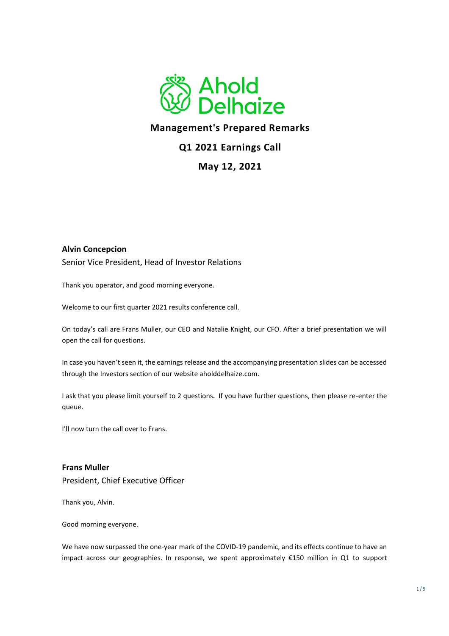

# **Management's Prepared Remarks**

# **Q1 2021 Earnings Call**

## **May 12, 2021**

### **Alvin Concepcion**

Senior Vice President, Head of Investor Relations

Thank you operator, and good morning everyone.

Welcome to our first quarter 2021 results conference call.

On today's call are Frans Muller, our CEO and Natalie Knight, our CFO. After a brief presentation we will open the call for questions.

In case you haven't seen it, the earnings release and the accompanying presentation slides can be accessed through the Investors section of our website aholddelhaize.com.

I ask that you please limit yourself to 2 questions. If you have further questions, then please re-enter the queue.

I'll now turn the call over to Frans.

**Frans Muller**  President, Chief Executive Officer

Thank you, Alvin.

Good morning everyone.

We have now surpassed the one-year mark of the COVID-19 pandemic, and its effects continue to have an impact across our geographies. In response, we spent approximately €150 million in Q1 to support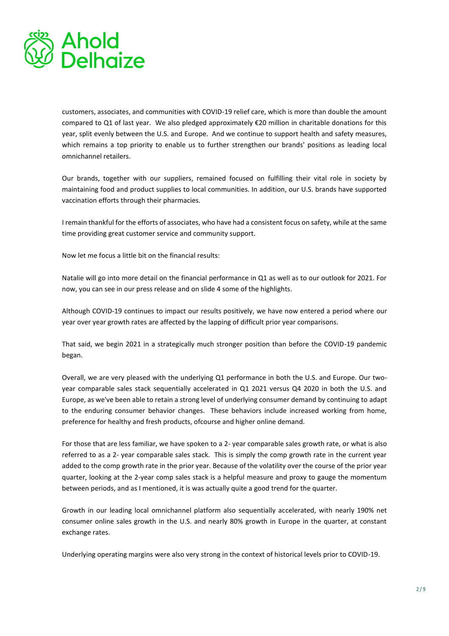

customers, associates, and communities with COVID-19 relief care, which is more than double the amount compared to Q1 of last year. We also pledged approximately €20 million in charitable donations for this year, split evenly between the U.S. and Europe. And we continue to support health and safety measures, which remains a top priority to enable us to further strengthen our brands' positions as leading local omnichannel retailers.

Our brands, together with our suppliers, remained focused on fulfilling their vital role in society by maintaining food and product supplies to local communities. In addition, our U.S. brands have supported vaccination efforts through their pharmacies.

I remain thankful for the efforts of associates, who have had a consistent focus on safety, while at the same time providing great customer service and community support.

Now let me focus a little bit on the financial results:

Natalie will go into more detail on the financial performance in Q1 as well as to our outlook for 2021. For now, you can see in our press release and on slide 4 some of the highlights.

Although COVID-19 continues to impact our results positively, we have now entered a period where our year over year growth rates are affected by the lapping of difficult prior year comparisons.

That said, we begin 2021 in a strategically much stronger position than before the COVID-19 pandemic began.

Overall, we are very pleased with the underlying Q1 performance in both the U.S. and Europe. Our twoyear comparable sales stack sequentially accelerated in Q1 2021 versus Q4 2020 in both the U.S. and Europe, as we've been able to retain a strong level of underlying consumer demand by continuing to adapt to the enduring consumer behavior changes. These behaviors include increased working from home, preference for healthy and fresh products, ofcourse and higher online demand.

For those that are less familiar, we have spoken to a 2- year comparable sales growth rate, or what is also referred to as a 2- year comparable sales stack. This is simply the comp growth rate in the current year added to the comp growth rate in the prior year. Because of the volatility over the course of the prior year quarter, looking at the 2-year comp sales stack is a helpful measure and proxy to gauge the momentum between periods, and as I mentioned, it is was actually quite a good trend for the quarter.

Growth in our leading local omnichannel platform also sequentially accelerated, with nearly 190% net consumer online sales growth in the U.S. and nearly 80% growth in Europe in the quarter, at constant exchange rates.

Underlying operating margins were also very strong in the context of historical levels prior to COVID-19.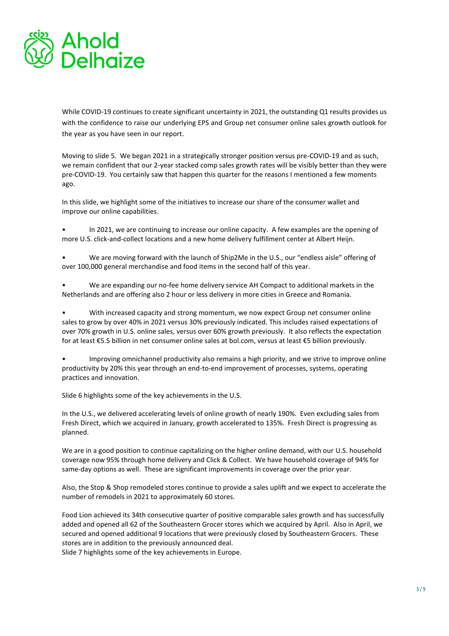

While COVID-19 continues to create significant uncertainty in 2021, the outstanding Q1 results provides us with the confidence to raise our underlying EPS and Group net consumer online sales growth outlook for the year as you have seen in our report.

Moving to slide 5. We began 2021 in a strategically stronger position versus pre-COVID-19 and as such, we remain confident that our 2-year stacked comp sales growth rates will be visibly better than they were pre-COVID-19. You certainly saw that happen this quarter for the reasons I mentioned a few moments ago.

In this slide, we highlight some of the initiatives to increase our share of the consumer wallet and improve our online capabilities.

- In 2021, we are continuing to increase our online capacity. A few examples are the opening of more U.S. click-and-collect locations and a new home delivery fulfillment center at Albert Heijn.
- We are moving forward with the launch of Ship2Me in the U.S., our "endless aisle" offering of over 100,000 general merchandise and food items in the second half of this year.
- We are expanding our no-fee home delivery service AH Compact to additional markets in the Netherlands and are offering also 2 hour or less delivery in more cities in Greece and Romania.

• With increased capacity and strong momentum, we now expect Group net consumer online sales to grow by over 40% in 2021 versus 30% previously indicated. This includes raised expectations of over 70% growth in U.S. online sales, versus over 60% growth previously. It also reflects the expectation for at least €5.5 billion in net consumer online sales at bol.com, versus at least €5 billion previously.

• Improving omnichannel productivity also remains a high priority, and we strive to improve online productivity by 20% this year through an end-to-end improvement of processes, systems, operating practices and innovation.

Slide 6 highlights some of the key achievements in the U.S.

In the U.S., we delivered accelerating levels of online growth of nearly 190%. Even excluding sales from Fresh Direct, which we acquired in January, growth accelerated to 135%. Fresh Direct is progressing as planned.

We are in a good position to continue capitalizing on the higher online demand, with our U.S. household coverage now 95% through home delivery and Click & Collect. We have household coverage of 94% for same-day options as well. These are significant improvements in coverage over the prior year.

Also, the Stop & Shop remodeled stores continue to provide a sales uplift and we expect to accelerate the number of remodels in 2021 to approximately 60 stores.

Food Lion achieved its 34th consecutive quarter of positive comparable sales growth and has successfully added and opened all 62 of the Southeastern Grocer stores which we acquired by April. Also in April, we secured and opened additional 9 locations that were previously closed by Southeastern Grocers. These stores are in addition to the previously announced deal.

Slide 7 highlights some of the key achievements in Europe.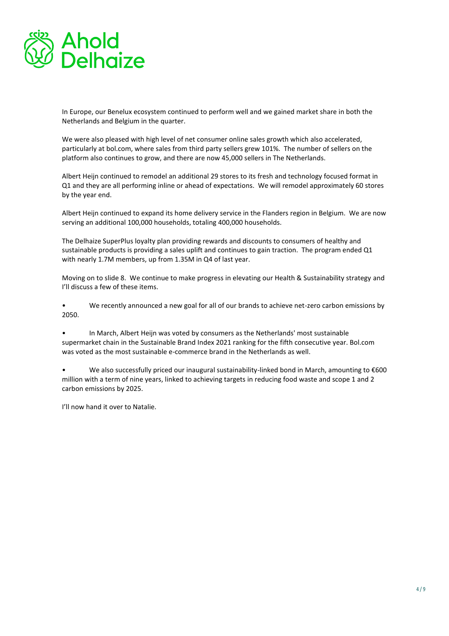

In Europe, our Benelux ecosystem continued to perform well and we gained market share in both the Netherlands and Belgium in the quarter.

We were also pleased with high level of net consumer online sales growth which also accelerated, particularly at bol.com, where sales from third party sellers grew 101%. The number of sellers on the platform also continues to grow, and there are now 45,000 sellers in The Netherlands.

Albert Heijn continued to remodel an additional 29 stores to its fresh and technology focused format in Q1 and they are all performing inline or ahead of expectations. We will remodel approximately 60 stores by the year end.

Albert Heijn continued to expand its home delivery service in the Flanders region in Belgium. We are now serving an additional 100,000 households, totaling 400,000 households.

The Delhaize SuperPlus loyalty plan providing rewards and discounts to consumers of healthy and sustainable products is providing a sales uplift and continues to gain traction. The program ended Q1 with nearly 1.7M members, up from 1.35M in Q4 of last year.

Moving on to slide 8. We continue to make progress in elevating our Health & Sustainability strategy and I'll discuss a few of these items.

• We recently announced a new goal for all of our brands to achieve net-zero carbon emissions by 2050.

• In March, Albert Heijn was voted by consumers as the Netherlands' most sustainable supermarket chain in the Sustainable Brand Index 2021 ranking for the fifth consecutive year. Bol.com was voted as the most sustainable e-commerce brand in the Netherlands as well.

We also successfully priced our inaugural sustainability-linked bond in March, amounting to €600 million with a term of nine years, linked to achieving targets in reducing food waste and scope 1 and 2 carbon emissions by 2025.

I'll now hand it over to Natalie.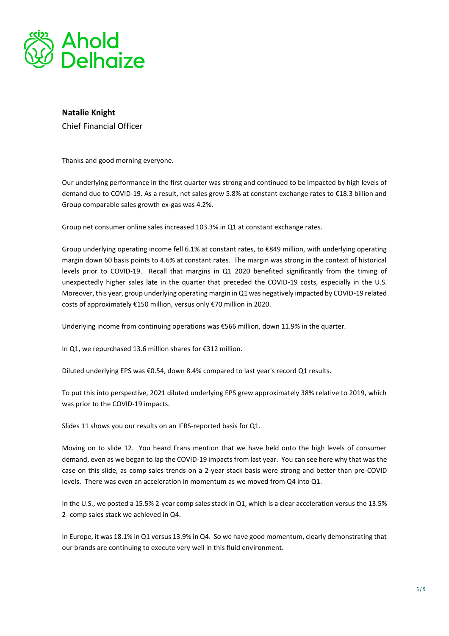

## **Natalie Knight**  Chief Financial Officer

Thanks and good morning everyone.

Our underlying performance in the first quarter was strong and continued to be impacted by high levels of demand due to COVID-19. As a result, net sales grew 5.8% at constant exchange rates to €18.3 billion and Group comparable sales growth ex-gas was 4.2%.

Group net consumer online sales increased 103.3% in Q1 at constant exchange rates.

Group underlying operating income fell 6.1% at constant rates, to €849 million, with underlying operating margin down 60 basis points to 4.6% at constant rates. The margin was strong in the context of historical levels prior to COVID-19. Recall that margins in Q1 2020 benefited significantly from the timing of unexpectedly higher sales late in the quarter that preceded the COVID-19 costs, especially in the U.S. Moreover, this year, group underlying operating margin in Q1 was negatively impacted by COVID-19 related costs of approximately €150 million, versus only €70 million in 2020.

Underlying income from continuing operations was €566 million, down 11.9% in the quarter.

In Q1, we repurchased 13.6 million shares for €312 million.

Diluted underlying EPS was €0.54, down 8.4% compared to last year's record Q1 results.

To put this into perspective, 2021 diluted underlying EPS grew approximately 38% relative to 2019, which was prior to the COVID-19 impacts.

Slides 11 shows you our results on an IFRS-reported basis for Q1.

Moving on to slide 12. You heard Frans mention that we have held onto the high levels of consumer demand, even as we began to lap the COVID-19 impacts from last year. You can see here why that was the case on this slide, as comp sales trends on a 2-year stack basis were strong and better than pre-COVID levels. There was even an acceleration in momentum as we moved from Q4 into Q1.

In the U.S., we posted a 15.5% 2-year comp sales stack in Q1, which is a clear acceleration versus the 13.5% 2- comp sales stack we achieved in Q4.

In Europe, it was 18.1% in Q1 versus 13.9% in Q4. So we have good momentum, clearly demonstrating that our brands are continuing to execute very well in this fluid environment.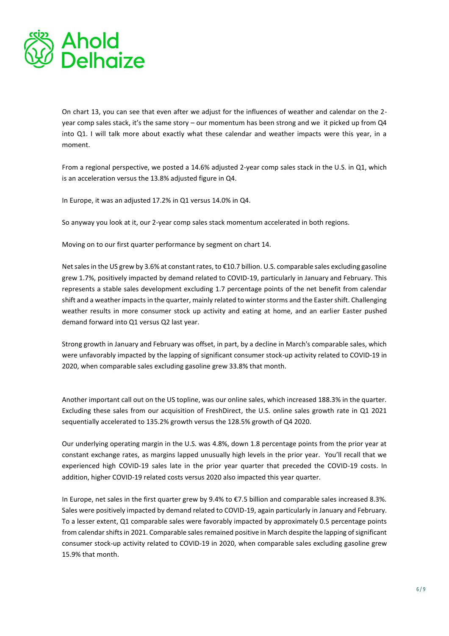

On chart 13, you can see that even after we adjust for the influences of weather and calendar on the 2 year comp sales stack, it's the same story – our momentum has been strong and we it picked up from Q4 into Q1. I will talk more about exactly what these calendar and weather impacts were this year, in a moment.

From a regional perspective, we posted a 14.6% adjusted 2-year comp sales stack in the U.S. in Q1, which is an acceleration versus the 13.8% adjusted figure in Q4.

In Europe, it was an adjusted 17.2% in Q1 versus 14.0% in Q4.

So anyway you look at it, our 2-year comp sales stack momentum accelerated in both regions.

Moving on to our first quarter performance by segment on chart 14.

Net sales in the US grew by 3.6% at constant rates, to €10.7 billion. U.S. comparable sales excluding gasoline grew 1.7%, positively impacted by demand related to COVID-19, particularly in January and February. This represents a stable sales development excluding 1.7 percentage points of the net benefit from calendar shift and a weather impacts in the quarter, mainly related to winter storms and the Easter shift. Challenging weather results in more consumer stock up activity and eating at home, and an earlier Easter pushed demand forward into Q1 versus Q2 last year.

Strong growth in January and February was offset, in part, by a decline in March's comparable sales, which were unfavorably impacted by the lapping of significant consumer stock-up activity related to COVID-19 in 2020, when comparable sales excluding gasoline grew 33.8% that month.

Another important call out on the US topline, was our online sales, which increased 188.3% in the quarter. Excluding these sales from our acquisition of FreshDirect, the U.S. online sales growth rate in Q1 2021 sequentially accelerated to 135.2% growth versus the 128.5% growth of Q4 2020.

Our underlying operating margin in the U.S. was 4.8%, down 1.8 percentage points from the prior year at constant exchange rates, as margins lapped unusually high levels in the prior year. You'll recall that we experienced high COVID-19 sales late in the prior year quarter that preceded the COVID-19 costs. In addition, higher COVID-19 related costs versus 2020 also impacted this year quarter.

In Europe, net sales in the first quarter grew by 9.4% to €7.5 billion and comparable sales increased 8.3%. Sales were positively impacted by demand related to COVID-19, again particularly in January and February. To a lesser extent, Q1 comparable sales were favorably impacted by approximately 0.5 percentage points from calendar shifts in 2021. Comparable sales remained positive in March despite the lapping of significant consumer stock-up activity related to COVID-19 in 2020, when comparable sales excluding gasoline grew 15.9% that month.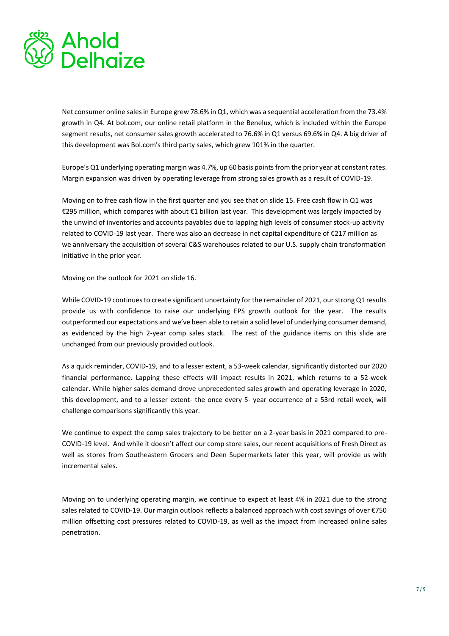

Net consumer online sales in Europe grew 78.6% in Q1, which was a sequential acceleration from the 73.4% growth in Q4. At bol.com, our online retail platform in the Benelux, which is included within the Europe segment results, net consumer sales growth accelerated to 76.6% in Q1 versus 69.6% in Q4. A big driver of this development was Bol.com's third party sales, which grew 101% in the quarter.

Europe's Q1 underlying operating margin was 4.7%, up 60 basis points from the prior year at constant rates. Margin expansion was driven by operating leverage from strong sales growth as a result of COVID-19.

Moving on to free cash flow in the first quarter and you see that on slide 15. Free cash flow in Q1 was €295 million, which compares with about €1 billion last year. This development was largely impacted by the unwind of inventories and accounts payables due to lapping high levels of consumer stock-up activity related to COVID-19 last year. There was also an decrease in net capital expenditure of €217 million as we anniversary the acquisition of several C&S warehouses related to our U.S. supply chain transformation initiative in the prior year.

Moving on the outlook for 2021 on slide 16.

While COVID-19 continues to create significant uncertainty for the remainder of 2021, our strong Q1 results provide us with confidence to raise our underlying EPS growth outlook for the year. The results outperformed our expectations and we've been able to retain a solid level of underlying consumer demand, as evidenced by the high 2-year comp sales stack. The rest of the guidance items on this slide are unchanged from our previously provided outlook.

As a quick reminder, COVID-19, and to a lesser extent, a 53-week calendar, significantly distorted our 2020 financial performance. Lapping these effects will impact results in 2021, which returns to a 52-week calendar. While higher sales demand drove unprecedented sales growth and operating leverage in 2020, this development, and to a lesser extent- the once every 5- year occurrence of a 53rd retail week, will challenge comparisons significantly this year.

We continue to expect the comp sales trajectory to be better on a 2-year basis in 2021 compared to pre-COVID-19 level. And while it doesn't affect our comp store sales, our recent acquisitions of Fresh Direct as well as stores from Southeastern Grocers and Deen Supermarkets later this year, will provide us with incremental sales.

Moving on to underlying operating margin, we continue to expect at least 4% in 2021 due to the strong sales related to COVID-19. Our margin outlook reflects a balanced approach with cost savings of over €750 million offsetting cost pressures related to COVID-19, as well as the impact from increased online sales penetration.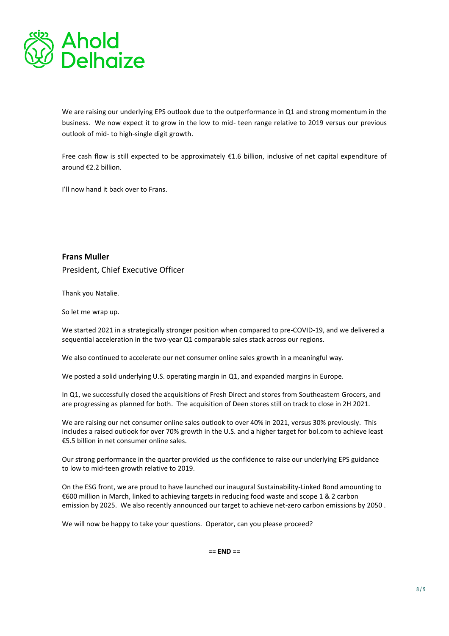

We are raising our underlying EPS outlook due to the outperformance in Q1 and strong momentum in the business. We now expect it to grow in the low to mid- teen range relative to 2019 versus our previous outlook of mid- to high-single digit growth.

Free cash flow is still expected to be approximately €1.6 billion, inclusive of net capital expenditure of around €2.2 billion.

I'll now hand it back over to Frans.

**Frans Muller**  President, Chief Executive Officer

Thank you Natalie.

So let me wrap up.

We started 2021 in a strategically stronger position when compared to pre-COVID-19, and we delivered a sequential acceleration in the two-year Q1 comparable sales stack across our regions.

We also continued to accelerate our net consumer online sales growth in a meaningful way.

We posted a solid underlying U.S. operating margin in Q1, and expanded margins in Europe.

In Q1, we successfully closed the acquisitions of Fresh Direct and stores from Southeastern Grocers, and are progressing as planned for both. The acquisition of Deen stores still on track to close in 2H 2021.

We are raising our net consumer online sales outlook to over 40% in 2021, versus 30% previously. This includes a raised outlook for over 70% growth in the U.S. and a higher target for bol.com to achieve least €5.5 billion in net consumer online sales.

Our strong performance in the quarter provided us the confidence to raise our underlying EPS guidance to low to mid-teen growth relative to 2019.

On the ESG front, we are proud to have launched our inaugural Sustainability-Linked Bond amounting to €600 million in March, linked to achieving targets in reducing food waste and scope 1 & 2 carbon emission by 2025. We also recently announced our target to achieve net-zero carbon emissions by 2050 .

We will now be happy to take your questions. Operator, can you please proceed?

**== END ==**